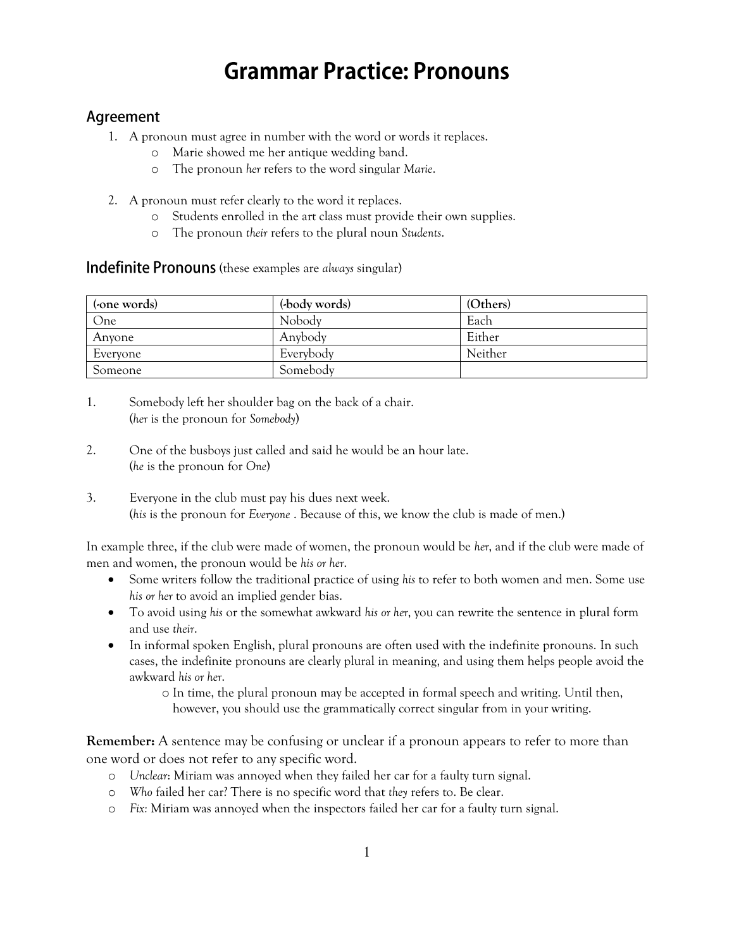# **Grammar Practice: Pronouns**

### Agreement

- 1. A pronoun must agree in number with the word or words it replaces.
	- o Marie showed me her antique wedding band.
	- o The pronoun *her* refers to the word singular *Marie*.
- 2. A pronoun must refer clearly to the word it replaces.
	- o Students enrolled in the art class must provide their own supplies.
	- o The pronoun *their* refers to the plural noun *Students*.

### **Indefinite Pronouns** (these examples are *always* singular)

| (-one words) | (body words) | (Others) |
|--------------|--------------|----------|
| One          | Nobody       | Each     |
| Anyone       | Anybody      | Either   |
| Everyone     | Everybody    | Neither  |
| Someone      | Somebody     |          |

- 1. Somebody left her shoulder bag on the back of a chair. (*her* is the pronoun for *Somebody*)
- 2. One of the busboys just called and said he would be an hour late. (*he* is the pronoun for *One*)
- 3. Everyone in the club must pay his dues next week. (*his* is the pronoun for *Everyone* . Because of this, we know the club is made of men.)

In example three, if the club were made of women, the pronoun would be *her*, and if the club were made of men and women, the pronoun would be *his or her*.

- Some writers follow the traditional practice of using *his* to refer to both women and men. Some use *his or her* to avoid an implied gender bias.
- To avoid using *his* or the somewhat awkward *his or her*, you can rewrite the sentence in plural form and use *their*.
- In informal spoken English, plural pronouns are often used with the indefinite pronouns. In such cases, the indefinite pronouns are clearly plural in meaning, and using them helps people avoid the awkward *his or her*.

o In time, the plural pronoun may be accepted in formal speech and writing. Until then, however, you should use the grammatically correct singular from in your writing.

**Remember:** A sentence may be confusing or unclear if a pronoun appears to refer to more than one word or does not refer to any specific word.

- o *Unclear*: Miriam was annoyed when they failed her car for a faulty turn signal.
- o *Who* failed her car? There is no specific word that *they* refers to. Be clear.
- o *Fix:* Miriam was annoyed when the inspectors failed her car for a faulty turn signal.